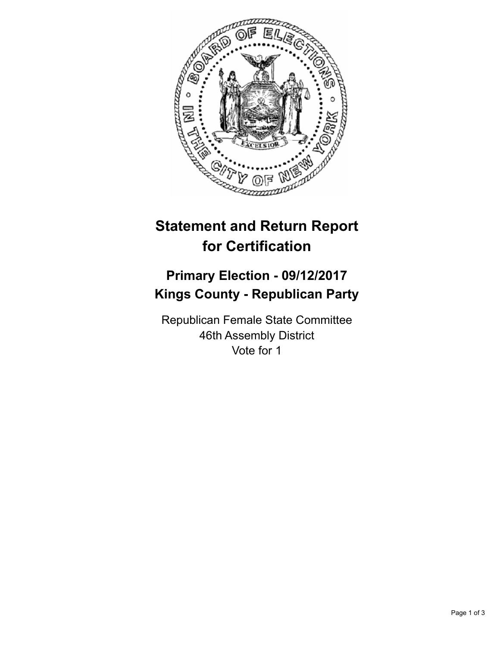

## **Statement and Return Report for Certification**

## **Primary Election - 09/12/2017 Kings County - Republican Party**

Republican Female State Committee 46th Assembly District Vote for 1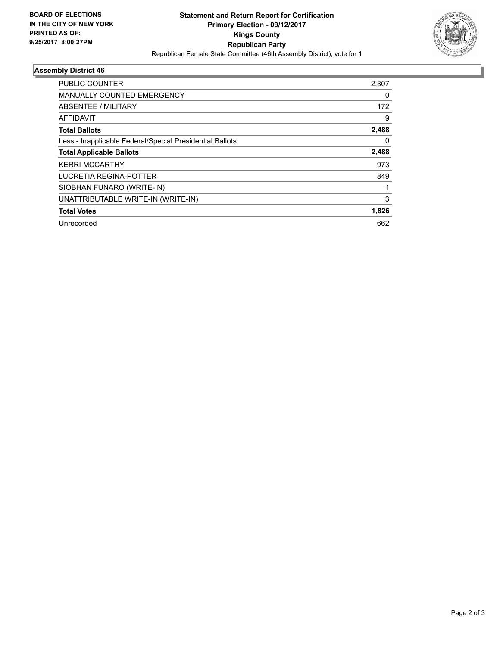

## **Assembly District 46**

| PUBLIC COUNTER                                           | 2,307 |
|----------------------------------------------------------|-------|
| <b>MANUALLY COUNTED EMERGENCY</b>                        | 0     |
| ABSENTEE / MILITARY                                      | 172   |
| AFFIDAVIT                                                | 9     |
| <b>Total Ballots</b>                                     | 2,488 |
| Less - Inapplicable Federal/Special Presidential Ballots | 0     |
| <b>Total Applicable Ballots</b>                          | 2,488 |
| <b>KERRI MCCARTHY</b>                                    | 973   |
| LUCRETIA REGINA-POTTER                                   | 849   |
| SIOBHAN FUNARO (WRITE-IN)                                |       |
| UNATTRIBUTABLE WRITE-IN (WRITE-IN)                       | 3     |
| <b>Total Votes</b>                                       | 1,826 |
| Unrecorded                                               | 662   |